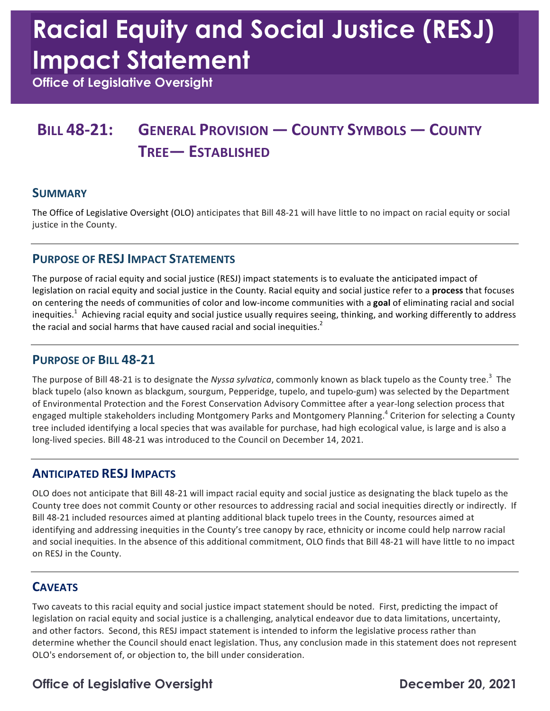# **Racial Equity and Social Justice (RESJ) Impact Statement**

 **Office of Legislative Oversight** 

## **BILL 48-21: GENERAL PROVISION — COUNTY SYMBOLS — COUNTY TREE— ESTABLISHED**

#### **SUMMARY**

The Office of Legislative Oversight (OLO) anticipates that Bill 48-21 will have little to no impact on racial equity or social justice in the County.

#### **PURPOSE OF RESJ IMPACT STATEMENTS**

The purpose of racial equity and social justice (RESJ) impact statements is to evaluate the anticipated impact of legislation on racial equity and social justice in the County. Racial equity and social justice refer to a **process** that focuses on centering the needs of communities of color and low-income communities with a goal of eliminating racial and social inequities.<sup>1</sup> Achieving racial equity and social justice usually requires seeing, thinking, and working differently to address the racial and social harms that have caused racial and social inequities.<sup>2</sup>

#### **PURPOSE OF BILL 48-21**

The purpose of Bill 48-21 is to designate the *Nyssa sylvatica,* commonly known as black tupelo as the County tree.<sup>3</sup> The black tupelo (also known as blackgum, sourgum, Pepperidge, tupelo, and tupelo-gum) was selected by the Department of Environmental Protection and the Forest Conservation Advisory Committee after a year-long selection process that engaged multiple stakeholders including Montgomery Parks and Montgomery Planning.<sup>4</sup> Criterion for selecting a County tree included identifying a local species that was available for purchase, had high ecological value, is large and is also a long-lived species. Bill 48-21 was introduced to the Council on December 14, 2021.

#### **ANTICIPATED RESJ IMPACTS**

OLO does not anticipate that Bill 48-21 will impact racial equity and social justice as designating the black tupelo as the County tree does not commit County or other resources to addressing racial and social inequities directly or indirectly. If Bill 48-21 included resources aimed at planting additional black tupelo trees in the County, resources aimed at identifying and addressing inequities in the County's tree canopy by race, ethnicity or income could help narrow racial and social inequities. In the absence of this additional commitment, OLO finds that Bill 48-21 will have little to no impact on RESJ in the County.

#### **CAVEATS**

Two caveats to this racial equity and social justice impact statement should be noted. First, predicting the impact of and other factors. Second, this RESJ impact statement is intended to inform the legislative process rather than determine whether the Council should enact legislation. Thus, any conclusion made in this statement does not represent OLO's endorsement of, or objection to, the bill under consideration. legislation on racial equity and social justice is a challenging, analytical endeavor due to data limitations, uncertainty,

### **Office of Legislative Oversight Channel Control Control Control December 20, 2021**